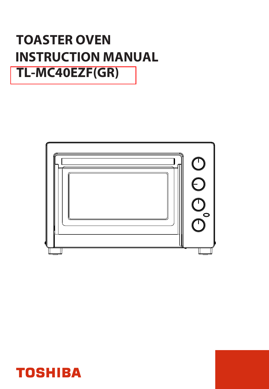# **INSTRUCTION MANUAL TOASTER OVEN TL-MC40EZF(GR)**



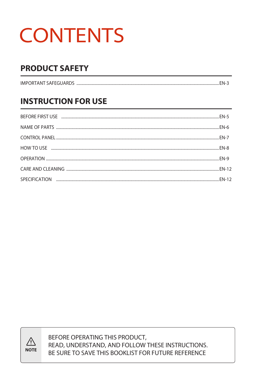# **CONTENTS**

# **PRODUCT SAFETY**

| <b>IMPORTANT SAFEGUARDS</b> |  |
|-----------------------------|--|
|                             |  |

# **INSTRUCTION FOR USE**



BEFORE OPERATING THIS PRODUCT, READ, UNDERSTAND, AND FOLLOW THESE INSTRUCTIONS. BE SURE TO SAVE THIS BOOKLIST FOR FUTURE REFERENCE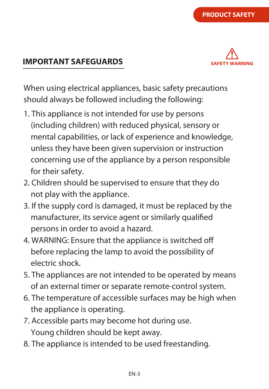# **IMPORTANT SAFEGUARDS**

When using electrical appliances, basic safety precautions should always be followed including the following:

- 1. This appliance is not intended for use by persons (including children) with reduced physical, sensory or mental capabilities, or lack of experience and knowledge, unless they have been given supervision or instruction concerning use of the appliance by a person responsible for their safety.
- 2. Children should be supervised to ensure that they do not play with the appliance.
- 3. If the supply cord is damaged, it must be replaced by the manufacturer, its service agent or similarly qualified persons in order to avoid a hazard.
- 4. WARNING: Ensure that the appliance is switched o before replacing the lamp to avoid the possibility of electric shock.
- 5. The appliances are not intended to be operated by means of an external timer or separate remote-control system.
- 6. The temperature of accessible surfaces may be high when the appliance is operating.
- 7. Accessible parts may become hot during use. Young children should be kept away.
- 8. The appliance is intended to be used freestanding.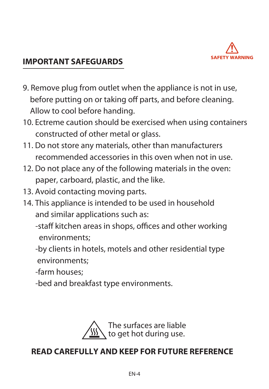

# **IMPORTANT SAFEGUARDS**

- 9. Remove plug from outlet when the appliance is not in use, before putting on or taking off parts, and before cleaning. Allow to cool before handing.
- 10. Ectreme caution should be exercised when using containers constructed of other metal or glass.
- 11. Do not store any materials, other than manufacturers recommended accessories in this oven when not in use.
- 12. Do not place any of the following materials in the oven: paper, carboard, plastic, and the like.
- 13. Avoid contacting moving parts.
- 14. This appliance is intended to be used in household and similar applications such as:
	- -staff kitchen areas in shops, offices and other working environments;
	- -by clients in hotels, motels and other residential type environments;
	- -farm houses;
	- -bed and breakfast type environments.



# **READ CAREFULLY AND KEEP FOR FUTURE REFERENCE**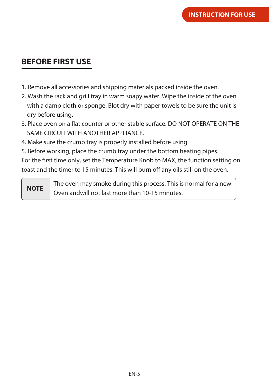# **BEFORE FIRST USE**

- 1. Remove all accessories and shipping materials packed inside the oven.
- 2. Wash the rack and grill tray in warm soapy water. Wipe the inside of the oven with a damp cloth or sponge. Blot dry with paper towels to be sure the unit is dry before using.
- 3. Place oven on a flat counter or other stable surface. DO NOT OPERATE ON THE SAME CIRCUIT WITH ANOTHER APPLIANCE.
- 4. Make sure the crumb tray is properly installed before using.
- 5. Before working, place the crumb tray under the bottom heating pipes.

For the first time only, set the Temperature Knob to MAX, the function setting on toast and the timer to 15 minutes. This will burn off any oils still on the oven.

The oven may smoke during this process. This is normal for a new Oven andwill not last more than 10-15 minutes. **NOTE**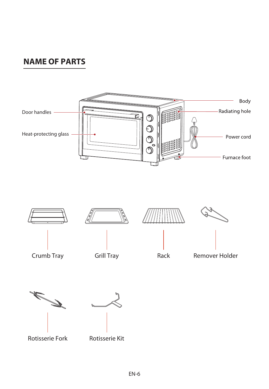# **NAME OF PARTS**

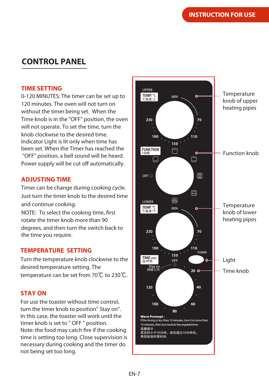# **CONTROL PANEL**

#### **TIME SETTING**

0-120 MINUTES: The timer can be set up to 120 minutes. The oven will not turn on without the timer being set. When the Time knob is in the "OFF" position, the oven will not operate. To set the time, turn the knob clockwise to the desired time. Indicator Light is lit only when time has been set. When the Timer has reached the "OFF" position, a bell sound will be heard. Power supply will be cut off automatically.

#### **ADJUSTING TIME**

Timer can be change during cooking cycle. Just turn the timer knob to the desired time and continue cooking.

NOTE: To select the cooking time, first rotate the timer knob more than 90 degrees, and then turn the switch back to the time you require.

#### **TEMPERATURE SETTING**

Turn the temperature knob clockwise to the desired temperature setting. The temperature can be set from 70℃ to 230℃.

#### **STAY ON**

For use the toaster without time control, turn the timer knob to position" Stay on". In this case, the toaster will work until the timer knob is set to " OFF " position. Note: the food may catch fire if the cooking time is setting too long. Close supervision is necessary during cooking and the timer do not being set too long.

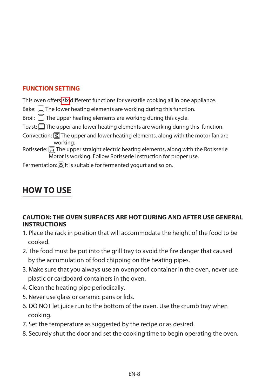### **FUNCTION SETTING**

This oven offers six different functions for versatile cooking all in one appliance.

- Bake:  $\Box$  The lower heating elements are working during this function.
- Broil:  $\Box$  The upper heating elements are working during this cycle.
- Toast:  $\Box$  The upper and lower heating elements are working during this function.
- Convection:  $\circled{2}$  The upper and lower heating elements, along with the motor fan are working.
- Rotisserie:  $\overline{\bigoplus}$  The upper straight electric heating elements, along with the Rotisserie Motor is working. Follow Rotisserie instruction for proper use.

Fermentation: 8 It is suitable for fermented yogurt and so on.

# **HOW TO USE**

#### **CAUTION: THE OVEN SURFACES ARE HOT DURING AND AFTER USE GENERAL INSTRUCTIONS**

- 1. Place the rack in position that will accommodate the height of the food to be cooked.
- 2. The food must be put into the grill tray to avoid the fire danger that caused by the accumulation of food chipping on the heating pipes.
- 3. Make sure that you always use an ovenproof container in the oven, never use plastic or cardboard containers in the oven.
- 4. Clean the heating pipe periodically.
- 5. Never use glass or ceramic pans or lids.
- 6. DO NOT let juice run to the bottom of the oven. Use the crumb tray when cooking.
- 7. Set the temperature as suggested by the recipe or as desired.
- 8. Securely shut the door and set the cooking time to begin operating the oven.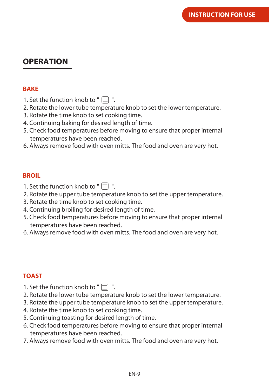# **OPERATION**

#### **BAKE**

- 1. Set the function knob to "  $\Box$  ".
- 2. Rotate the lower tube temperature knob to set the lower temperature.
- 3. Rotate the time knob to set cooking time.
- 4. Continuing baking for desired length of time.
- 5. Check food temperatures before moving to ensure that proper internal temperatures have been reached.
- 6. Always remove food with oven mitts. The food and oven are very hot.

#### **BROIL**

- 1. Set the function knob to " $\Box$ ".
- 2. Rotate the upper tube temperature knob to set the upper temperature.
- 3. Rotate the time knob to set cooking time.
- 4. Continuing broiling for desired length of time.
- 5. Check food temperatures before moving to ensure that proper internal temperatures have been reached.
- 6. Always remove food with oven mitts. The food and oven are very hot.

### **TOAST**

- 1. Set the function knob to " $\Box$ ".
- 2. Rotate the lower tube temperature knob to set the lower temperature.
- 3. Rotate the upper tube temperature knob to set the upper temperature.
- 4. Rotate the time knob to set cooking time.
- 5. Continuing toasting for desired length of time.
- 6. Check food temperatures before moving to ensure that proper internal temperatures have been reached.
- 7. Always remove food with oven mitts. The food and oven are very hot.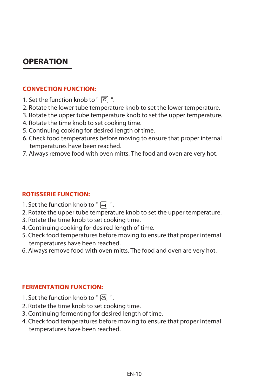# **OPERATION**

#### **CONVECTION FUNCTION:**

- 1. Set the function knob to "  $\circled{8}$  ".
- 2. Rotate the lower tube temperature knob to set the lower temperature.
- 3. Rotate the upper tube temperature knob to set the upper temperature.
- 4. Rotate the time knob to set cooking time.
- 5. Continuing cooking for desired length of time.
- 6. Check food temperatures before moving to ensure that proper internal temperatures have been reached.
- 7. Always remove food with oven mitts. The food and oven are very hot.

#### **ROTISSERIE FUNCTION:**

- 1. Set the function knob to " $\overline{\bigoplus}$  ".
- 2. Rotate the upper tube temperature knob to set the upper temperature.
- 3. Rotate the time knob to set cooking time.
- 4. Continuing cooking for desired length of time.
- 5. Check food temperatures before moving to ensure that proper internal temperatures have been reached.
- 6. Always remove food with oven mitts. The food and oven are very hot.

#### **FERMENTATION FUNCTION:**

- 1. Set the function knob to " $\odot$ ".
- 2. Rotate the time knob to set cooking time.
- 3. Continuing fermenting for desired length of time.
- 4. Check food temperatures before moving to ensure that proper internal temperatures have been reached.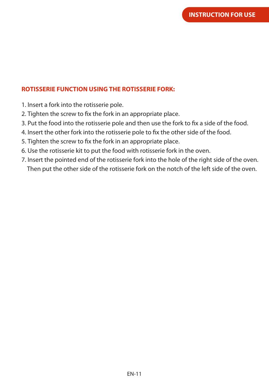#### **ROTISSERIE FUNCTION USING THE ROTISSERIE FORK:**

- 1. Insert a fork into the rotisserie pole.
- 2. Tighten the screw to fix the fork in an appropriate place.
- 3. Put the food into the rotisserie pole and then use the fork to fix a side of the food.
- 4. Insert the other fork into the rotisserie pole to fix the other side of the food.
- 5. Tighten the screw to fix the fork in an appropriate place.
- 6. Use the rotisserie kit to put the food with rotisserie fork in the oven.
- 7. Insert the pointed end of the rotisserie fork into the hole of the right side of the oven. Then put the other side of the rotisserie fork on the notch of the left side of the oven.